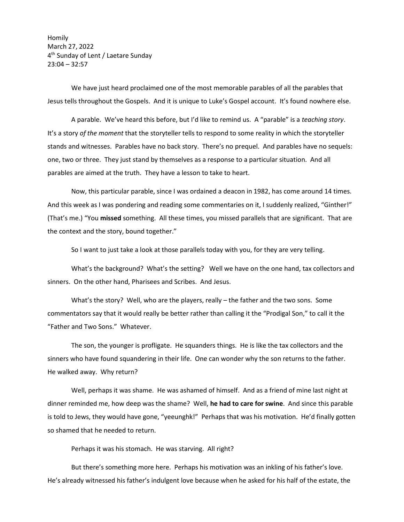Homily March 27, 2022 4<sup>th</sup> Sunday of Lent / Laetare Sunday 23:04 – 32:57

We have just heard proclaimed one of the most memorable parables of all the parables that Jesus tells throughout the Gospels. And it is unique to Luke's Gospel account. It's found nowhere else.

A parable. We've heard this before, but I'd like to remind us. A "parable" is a *teaching story*. It's a story *of the moment* that the storyteller tells to respond to some reality in which the storyteller stands and witnesses. Parables have no back story. There's no prequel. And parables have no sequels: one, two or three. They just stand by themselves as a response to a particular situation. And all parables are aimed at the truth. They have a lesson to take to heart.

Now, this particular parable, since I was ordained a deacon in 1982, has come around 14 times. And this week as I was pondering and reading some commentaries on it, I suddenly realized, "Ginther!" (That's me.) "You **missed** something. All these times, you missed parallels that are significant. That are the context and the story, bound together."

So I want to just take a look at those parallels today with you, for they are very telling.

What's the background? What's the setting? Well we have on the one hand, tax collectors and sinners. On the other hand, Pharisees and Scribes. And Jesus.

What's the story? Well, who are the players, really – the father and the two sons. Some commentators say that it would really be better rather than calling it the "Prodigal Son," to call it the "Father and Two Sons." Whatever.

The son, the younger is profligate. He squanders things. He is like the tax collectors and the sinners who have found squandering in their life. One can wonder why the son returns to the father. He walked away. Why return?

Well, perhaps it was shame. He was ashamed of himself. And as a friend of mine last night at dinner reminded me, how deep was the shame? Well, **he had to care for swine**. And since this parable is told to Jews, they would have gone, "yeeunghk!" Perhaps that was his motivation. He'd finally gotten so shamed that he needed to return.

Perhaps it was his stomach. He was starving. All right?

But there's something more here. Perhaps his motivation was an inkling of his father's love. He's already witnessed his father's indulgent love because when he asked for his half of the estate, the